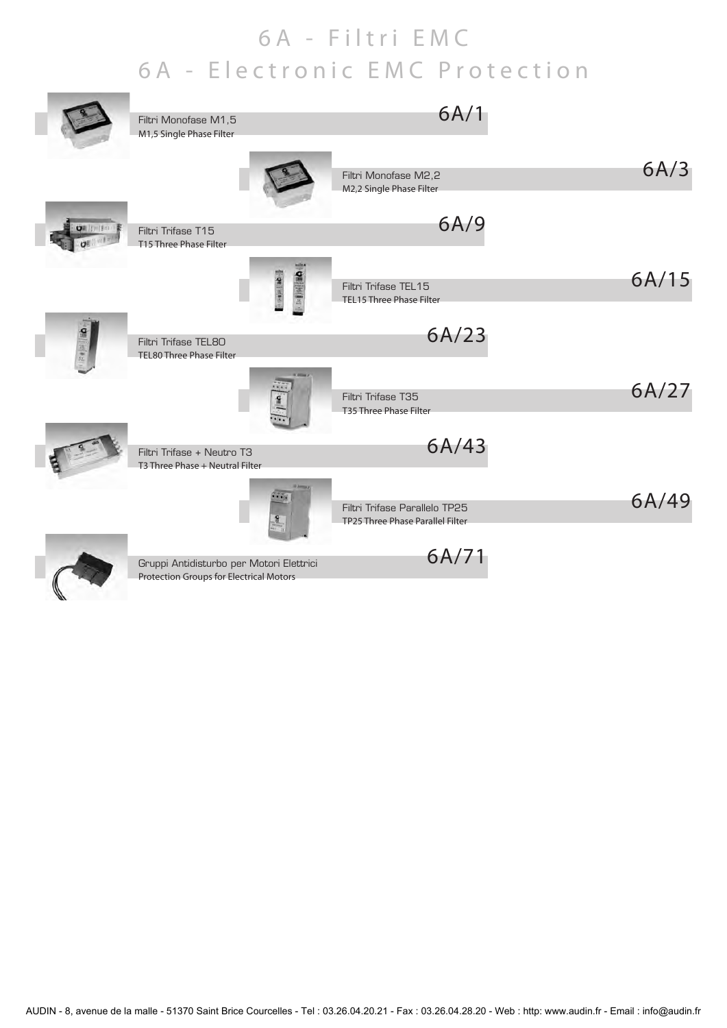## 6A - Filtri EMC 6A - Electronic EMC Protection

| Filtri Monofase M1,5<br>M1,5 Single Phase Filter                                    | 6A/1                                                              |       |
|-------------------------------------------------------------------------------------|-------------------------------------------------------------------|-------|
|                                                                                     | Filtri Monofase M2,2<br>M2,2 Single Phase Filter                  | 6A/3  |
| Filtri Trifase T15<br>T15 Three Phase Filter                                        | 6A/9                                                              |       |
| <b>Comitative</b>                                                                   | Filtri Trifase TEL15<br>TEL15 Three Phase Filter                  | 6A/15 |
| Filtri Trifase TEL8O<br>TEL80 Three Phase Filter                                    | 6A/23                                                             |       |
|                                                                                     | Filtri Trifase T35<br>T35 Three Phase Filter                      | 6A/27 |
| Filtri Trifase + Neutro T3<br>T3 Three Phase + Neutral Filter                       | 6A/43                                                             |       |
|                                                                                     | Filtri Trifase Parallelo TP25<br>TP25 Three Phase Parallel Filter | 6A/49 |
| Gruppi Antidisturbo per Motori Elettrici<br>Protection Groups for Electrical Motors | 6A/71                                                             |       |
|                                                                                     |                                                                   |       |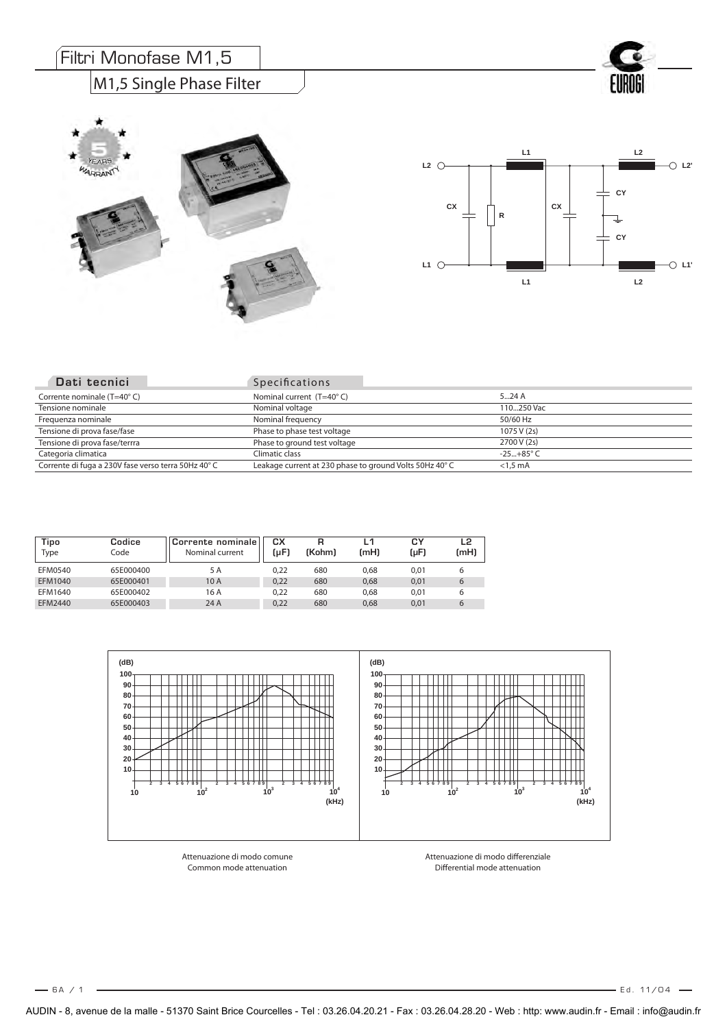## Filtri Monofase M1,5

**YEARS** WARRANTY

#### M1,5 Single Phase Filter





| Tipo<br>Type | Codice<br>Code | Corrente nominale<br>Nominal current | cх<br>(uF) | R<br>(Kohm) | (mH) | СY<br>(µF) | L2<br>(mH) |
|--------------|----------------|--------------------------------------|------------|-------------|------|------------|------------|
| EFM0540      | 65E000400      | 5 A                                  | 0.22       | 680         | 0.68 | 0.01       | b          |
| EFM1040      | 65E000401      | 10 A                                 | 0.22       | 680         | 0,68 | 0,01       | 6          |
| EFM1640      | 65E000402      | 16 A                                 | 0.22       | 680         | 0.68 | 0.01       | b          |
| EFM2440      | 65E000403      | 24 A                                 | 0,22       | 680         | 0,68 | 0,01       | 6          |



Attenuazione di modo comune Common mode attenuation

Attenuazione di modo differenziale Differential mode attenuation

 $-6A/1$ 

6 A / E d . 11/04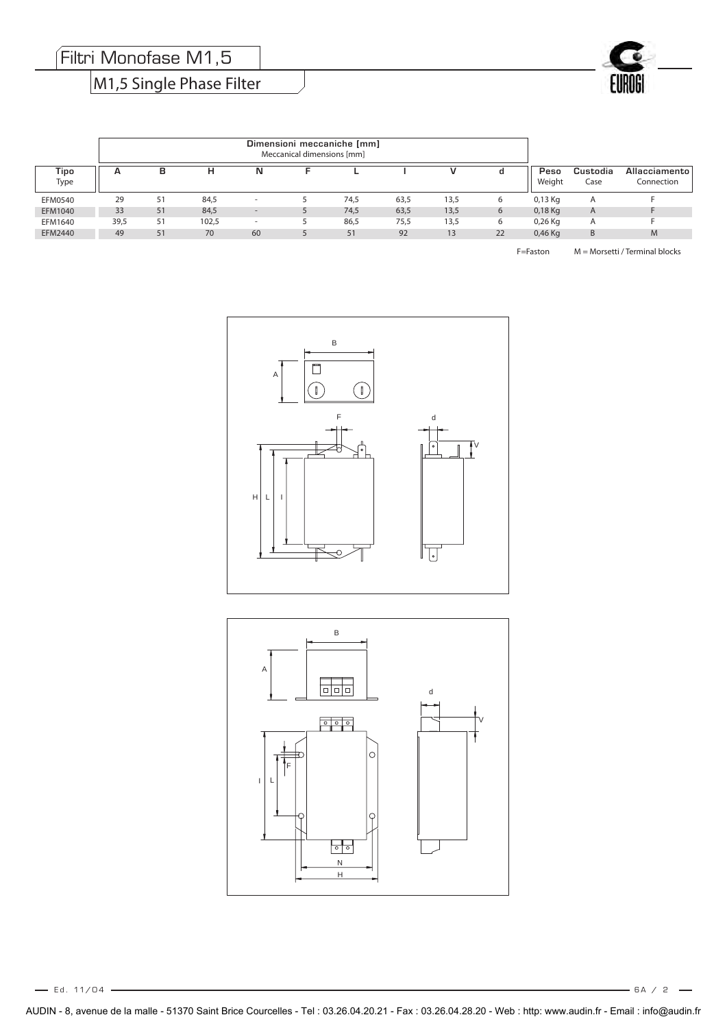Filtri Monofase M1,5

## M1,5 Single Phase Filter



| Tipo<br>Type   | A    | в  | н     | N                        |      |      |      |    | Peso<br>Weight | Custodia<br>Case | Allacciamento<br>Connection |
|----------------|------|----|-------|--------------------------|------|------|------|----|----------------|------------------|-----------------------------|
| <b>EFM0540</b> | 29   | 51 | 84,5  | $\overline{\phantom{a}}$ | 74,5 | 63,5 | 13,5 | 6  | $0,13$ Kg      | A                |                             |
| EFM1040        | 33   | 51 | 84,5  | $\overline{\phantom{a}}$ | 74,5 | 63,5 | 13,5 | 6  | $0,18$ Kg      | A                |                             |
| EFM1640        | 39,5 | 51 | 102,5 | $\overline{\phantom{a}}$ | 86,5 | 75,5 | 13,5 | 6  | $0,26$ Kg      | A                |                             |
| EFM2440        | 49   | 51 | 70    | 60                       | 51   | 92   | 13   | 22 | $0,46$ Kg      | B                | M                           |

F=Faston M = Morsetti / Terminal blocks





Ed. 11/04 – **Ed. 11/04 – A / 2 – A / 2 – A / 2 – A / 2 – A / 2 – A / 2 – A / 2 – A / 2 – A / 2 – A / 2 – A / 2 – A / 2 – A / 2 – A / 2 – A / 2 – A / 2 – A / 2 – A / 2 – A / 2 – A / 2 – A / 2 – A / 2 – A / 2 – A / 2 – A / 2**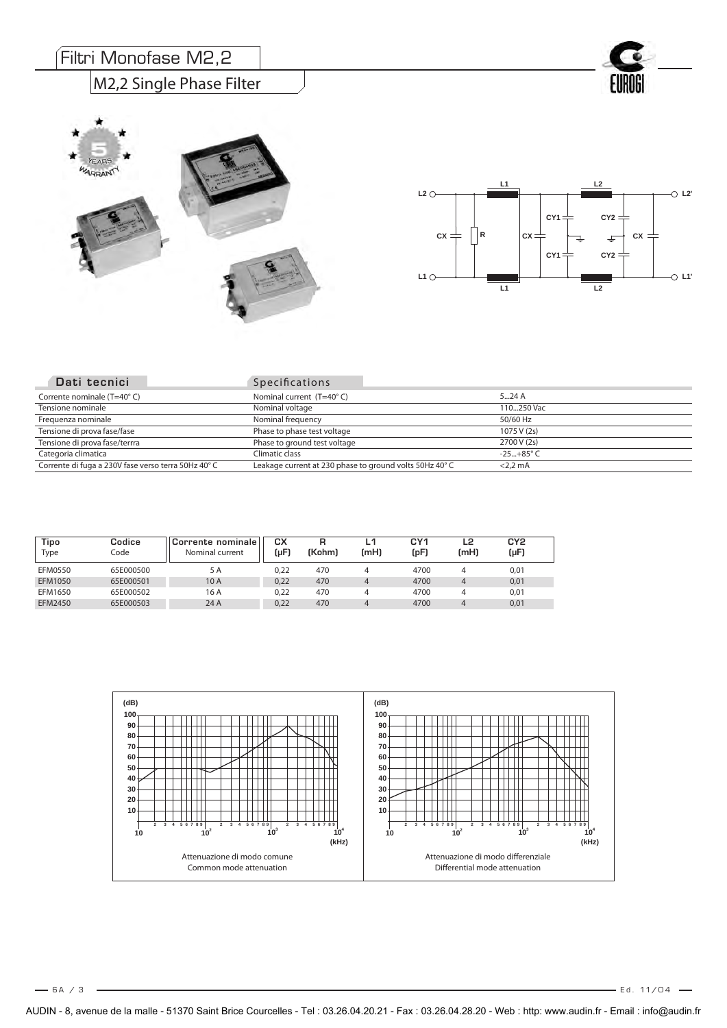#### M2,2 Single Phase Filter







| Dati tecnici                                       | <b>Specifications</b>                                   |                    |
|----------------------------------------------------|---------------------------------------------------------|--------------------|
| Corrente nominale (T=40°C)                         | Nominal current (T=40°C)                                | $5 - 24A$          |
| Tensione nominale                                  | Nominal voltage                                         | 110250 Vac         |
| Frequenza nominale                                 | Nominal frequency                                       | 50/60 Hz           |
| Tensione di prova fase/fase                        | Phase to phase test voltage                             | 1075 V (2s)        |
| Tensione di prova fase/terrra                      | Phase to ground test voltage                            | 2700 V (2s)        |
| Categoria climatica                                | Climatic class                                          | $-25+85^{\circ}$ C |
| Corrente di fuga a 230V fase verso terra 50Hz 40°C | Leakage current at 230 phase to ground volts 50Hz 40° C | $<$ 2.2 mA         |

| Tipo<br>Type | Codice<br>Code | .Corrente nominale∣<br>Nominal current | CХ<br>(uF) | (Kohm) | L1<br>(mH) | CY <sub>1</sub><br>(pF) | L2<br>(mH)     | CY2<br>(µF) |
|--------------|----------------|----------------------------------------|------------|--------|------------|-------------------------|----------------|-------------|
| EFM0550      | 65E000500      | 5 A                                    | 0.22       | 470    |            | 4700                    | 4              | 0,01        |
| EFM1050      | 65E000501      | 10 A                                   | 0.22       | 470    | 4          | 4700                    | $\overline{4}$ | 0,01        |
| EFM1650      | 65E000502      | 16 A                                   | 0.22       | 470    | 4          | 4700                    | 4              | 0,01        |
| EFM2450      | 65E000503      | 24 A                                   | 0.22       | 470    | $\Delta$   | 4700                    | $\overline{4}$ | 0,01        |

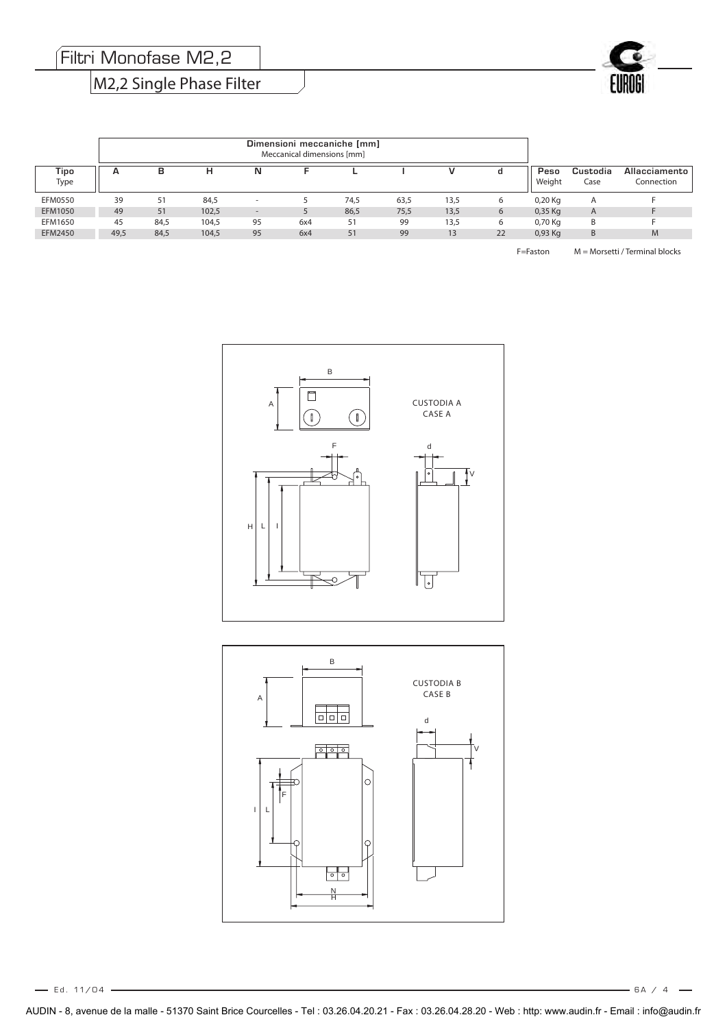Filtri Monofase M2,2

## M2,2 Single Phase Filter



| Tipo<br>Type   | A    | в    | н     | N                        |     |      |      |      | d  | Peso<br>Weight | Custodia<br>Case | Allacciamento<br>Connection |
|----------------|------|------|-------|--------------------------|-----|------|------|------|----|----------------|------------------|-----------------------------|
| <b>EFM0550</b> | 39   | 51   | 84,5  | $\overline{\phantom{a}}$ |     | 74,5 | 63,5 | 13.5 | 6  | 0,20 Kg        | A                |                             |
| EFM1050        | 49   | 51   | 102,5 |                          |     | 86,5 | 75,5 | 13,5 | 6  | 0,35 Kg        | A                |                             |
| EFM1650        | 45   | 84,5 | 104,5 | 95                       | 6x4 | 51   | 99   | 13,5 | 6  | 0,70 Kg        | B                |                             |
| EFM2450        | 49,5 | 84,5 | 104,5 | 95                       | 6x4 | 51   | 99   | 13   | 22 | 0,93 Kg        | B                | M                           |

F=Faston M = Morsetti / Terminal blocks



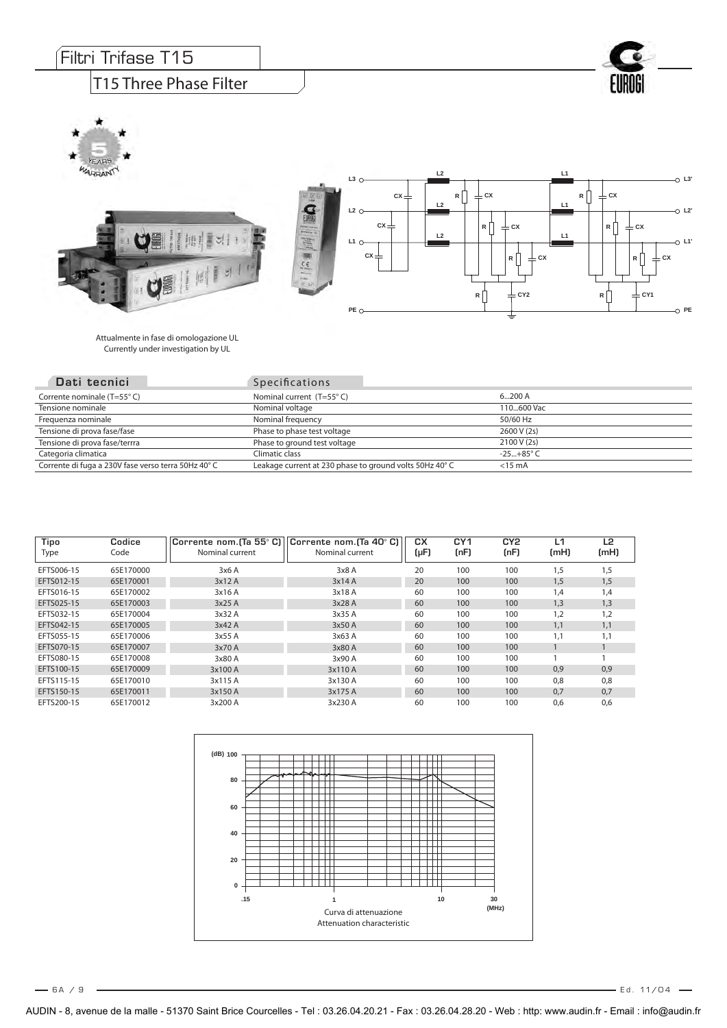Attualmente in fase di omologazione UL Currently under investigation by UL

| Dati tecnici                                       | <b>Specifications</b>                                  |                    |
|----------------------------------------------------|--------------------------------------------------------|--------------------|
| Corrente nominale (T=55°C)                         | Nominal current (T=55°C)                               | 6200 A             |
| Tensione nominale                                  | Nominal voltage                                        | 110600 Vac         |
| Frequenza nominale                                 | Nominal frequency                                      | 50/60 Hz           |
| Tensione di prova fase/fase                        | Phase to phase test voltage                            | 2600 V (2s)        |
| Tensione di prova fase/terrra                      | Phase to ground test voltage                           | 2100 V (2s)        |
| Categoria climatica                                | Climatic class                                         | $-25+85^{\circ}$ C |
| Corrente di fuga a 230V fase verso terra 50Hz 40°C | Leakage current at 230 phase to ground volts 50Hz 40°C | $<$ 15 mA          |

| Tipo<br>Type | Codice<br>Code | Corrente nom. [Ta 55° C]<br>Nominal current | Corrente nom. [Ta 40° C]<br>Nominal current | CХ<br>(µF) | CY <sub>1</sub><br>(nF) | CY <sub>2</sub><br>(nF) | L1<br>(mH) | L <sub>2</sub><br>(mH) |
|--------------|----------------|---------------------------------------------|---------------------------------------------|------------|-------------------------|-------------------------|------------|------------------------|
| EFTS006-15   | 65E170000      | 3x6A                                        | 3x8A                                        | 20         | 100                     | 100                     | 1,5        | 1,5                    |
| EFTS012-15   | 65E170001      | 3x12A                                       | 3x14A                                       | 20         | 100                     | 100                     | 1,5        | 1,5                    |
| EFTS016-15   | 65E170002      | 3x16 A                                      | 3x18 A                                      | 60         | 100                     | 100                     | 1,4        | 1,4                    |
| EFTS025-15   | 65E170003      | 3x25 A                                      | 3x28 A                                      | 60         | 100                     | 100                     | 1,3        | 1,3                    |
| EFTS032-15   | 65E170004      | 3x32 A                                      | 3x35 A                                      | 60         | 100                     | 100                     | 1,2        | 1.2                    |
| EFTS042-15   | 65E170005      | 3x42A                                       | 3x50 A                                      | 60         | 100                     | 100                     | 1,1        | 1,1                    |
| EFTS055-15   | 65E170006      | 3x55 A                                      | 3x63 A                                      | 60         | 100                     | 100                     | 1,1        | 1,1                    |
| EFTS070-15   | 65E170007      | 3x70 A                                      | 3x80 A                                      | 60         | 100                     | 100                     |            |                        |
| EFTS080-15   | 65E170008      | 3x80 A                                      | 3x90 A                                      | 60         | 100                     | 100                     |            |                        |
| EFTS100-15   | 65E170009      | 3x100 A                                     | 3x110 A                                     | 60         | 100                     | 100                     | 0,9        | 0,9                    |
| EFTS115-15   | 65E170010      | 3x115 A                                     | 3x130 A                                     | 60         | 100                     | 100                     | 0.8        | 0.8                    |
| EFTS150-15   | 65E170011      | 3x150 A                                     | 3x175 A                                     | 60         | 100                     | 100                     | 0.7        | 0.7                    |
| EFTS200-15   | 65E170012      | 3x200 A                                     | 3x230 A                                     | 60         | 100                     | 100                     | 0.6        | 0,6                    |



 $-6A/9$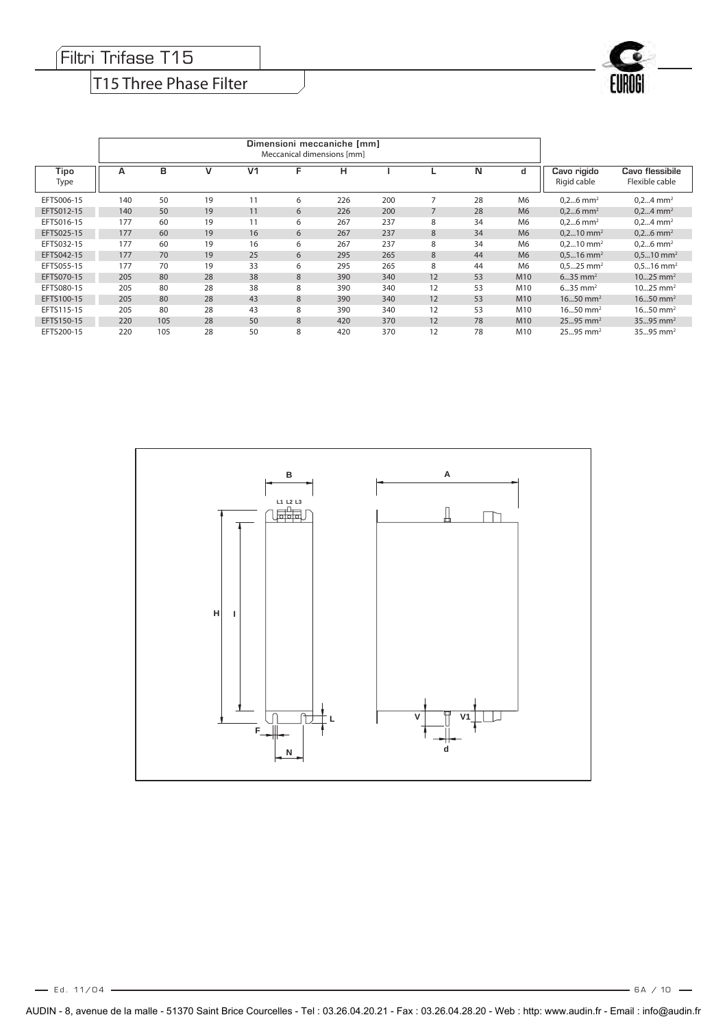#### Filtri Trifase T15

## T15 Three Phase Filter

| Tipo<br>Type | A   | в   | ν  | V <sub>1</sub> | F | н   |     |                | N  | d               | Cavo rigido<br>Rigid cable | Cavo flessibile<br>Flexible cable |
|--------------|-----|-----|----|----------------|---|-----|-----|----------------|----|-----------------|----------------------------|-----------------------------------|
| EFTS006-15   | 140 | 50  | 19 | 11             | 6 | 226 | 200 | 7              | 28 | M <sub>6</sub>  | $0,26$ mm <sup>2</sup>     | $0, 24$ mm <sup>2</sup>           |
| EFTS012-15   | 140 | 50  | 19 | 11             | 6 | 226 | 200 | $\overline{7}$ | 28 | M <sub>6</sub>  | $0,26$ mm <sup>2</sup>     | $0, 24$ mm <sup>2</sup>           |
| EFTS016-15   | 177 | 60  | 19 | 11             | 6 | 267 | 237 | 8              | 34 | M <sub>6</sub>  | $0,26$ mm <sup>2</sup>     | $0, 24$ mm <sup>2</sup>           |
| EFTS025-15   | 177 | 60  | 19 | 16             | 6 | 267 | 237 | 8              | 34 | M <sub>6</sub>  | $0, 210$ mm <sup>2</sup>   | $0,26$ mm <sup>2</sup>            |
| EFTS032-15   | 177 | 60  | 19 | 16             | 6 | 267 | 237 | 8              | 34 | M <sub>6</sub>  | $0.210$ mm <sup>2</sup>    | $0,26$ mm <sup>2</sup>            |
| EFTS042-15   | 177 | 70  | 19 | 25             | 6 | 295 | 265 | 8              | 44 | M <sub>6</sub>  | $0.516$ mm <sup>2</sup>    | $0.510$ mm <sup>2</sup>           |
| EFTS055-15   | 177 | 70  | 19 | 33             | 6 | 295 | 265 | 8              | 44 | M <sub>6</sub>  | $0.525$ mm <sup>2</sup>    | $0.516$ mm <sup>2</sup>           |
| EFTS070-15   | 205 | 80  | 28 | 38             | 8 | 390 | 340 | 12             | 53 | M <sub>10</sub> | $635$ mm <sup>2</sup>      | $1025$ mm <sup>2</sup>            |
| EFTS080-15   | 205 | 80  | 28 | 38             | 8 | 390 | 340 | 12             | 53 | M10             | $635$ mm <sup>2</sup>      | $1025$ mm <sup>2</sup>            |
| EFTS100-15   | 205 | 80  | 28 | 43             | 8 | 390 | 340 | 12             | 53 | M <sub>10</sub> | $1650$ mm <sup>2</sup>     | $1650$ mm <sup>2</sup>            |
| EFTS115-15   | 205 | 80  | 28 | 43             | 8 | 390 | 340 | 12             | 53 | M10             | $1650$ mm <sup>2</sup>     | $1650$ mm <sup>2</sup>            |
| EFTS150-15   | 220 | 105 | 28 | 50             | 8 | 420 | 370 | 12             | 78 | M <sub>10</sub> | $2595$ mm <sup>2</sup>     | $3595$ mm <sup>2</sup>            |
| EFTS200-15   | 220 | 105 | 28 | 50             | 8 | 420 | 370 | 12             | 78 | M10             | $2595$ mm <sup>2</sup>     | $3595$ mm <sup>2</sup>            |



 $-$  6A / 10  $-$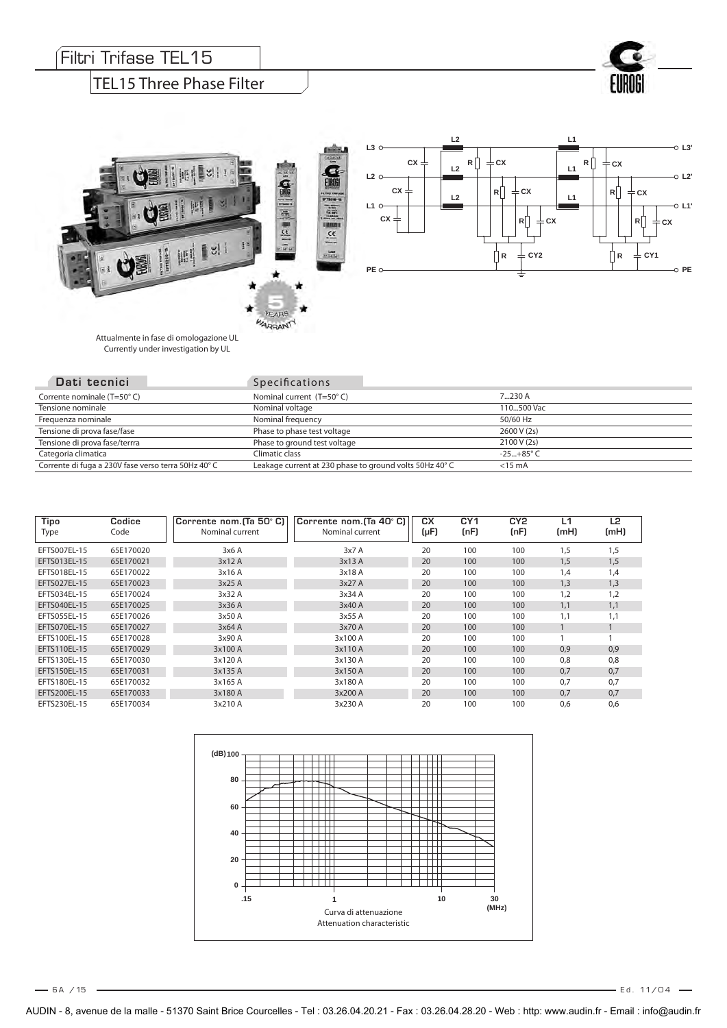#### Filtri Trifase TEL15

#### TEL15 Three Phase Filter



Attualmente in fase di omologazione UL Currently under investigation by UL

٧Ì

| Dati tecnici                                       | <b>Specifications</b>                                   |                    |
|----------------------------------------------------|---------------------------------------------------------|--------------------|
| Corrente nominale (T=50°C)                         | Nominal current (T=50°C)                                | $7230$ A           |
| Tensione nominale                                  | Nominal voltage                                         | 110.500 Vac        |
| Frequenza nominale                                 | Nominal frequency                                       | 50/60 Hz           |
| Tensione di prova fase/fase                        | Phase to phase test voltage                             | 2600 V (2s)        |
| Tensione di prova fase/terrra                      | Phase to ground test voltage                            | 2100 V (2s)        |
| Categoria climatica                                | Climatic class                                          | $-25+85^{\circ}$ C |
| Corrente di fuga a 230V fase verso terra 50Hz 40°C | Leakage current at 230 phase to ground volts 50Hz 40° C | $<$ 15 mA          |

**CONTECTIVE** 

Ŵ

 $k_{\text{A}}$ WARRANTY  $\frac{1}{\pi}$ 

| Tipo<br>Type | Codice<br>Code | Corrente nom. (Ta 50° C)<br>Nominal current | Corrente nom. (Ta 40° C)<br>Nominal current | CХ<br>(µF) | CY <sub>1</sub><br>(nF) | CY <sub>2</sub><br>(nF) | L1<br>(mH) | L <sub>2</sub><br>(mH) |
|--------------|----------------|---------------------------------------------|---------------------------------------------|------------|-------------------------|-------------------------|------------|------------------------|
| EFTS007EL-15 | 65E170020      | 3x6A                                        | 3x7A                                        | 20         | 100                     | 100                     | 1,5        | 1,5                    |
| EFTS013EL-15 | 65E170021      | 3x12A                                       | 3x13A                                       | 20         | 100                     | 100                     | 1,5        | 1,5                    |
| EFTS018EL-15 | 65E170022      | 3x16 A                                      | 3x18 A                                      | 20         | 100                     | 100                     | 1,4        | 1,4                    |
| EFTS027EL-15 | 65E170023      | 3x25 A                                      | 3x27A                                       | 20         | 100                     | 100                     | 1,3        | 1,3                    |
| EFTS034EL-15 | 65E170024      | 3x32 A                                      | 3x34 A                                      | 20         | 100                     | 100                     | 1,2        | 1,2                    |
| EFTS040EL-15 | 65E170025      | 3x36 A                                      | 3x40 A                                      | 20         | 100                     | 100                     | 1,1        | 1,1                    |
| EFTS055EL-15 | 65E170026      | 3x50 A                                      | 3x55 A                                      | 20         | 100                     | 100                     | 1,1        | 1,1                    |
| EFTS070EL-15 | 65E170027      | 3x64A                                       | 3x70 A                                      | 20         | 100                     | 100                     |            |                        |
| EFTS100EL-15 | 65E170028      | 3x90 A                                      | 3x100 A                                     | 20         | 100                     | 100                     |            |                        |
| EFTS110EL-15 | 65E170029      | 3x100 A                                     | 3x110 A                                     | 20         | 100                     | 100                     | 0.9        | 0,9                    |
| EFTS130EL-15 | 65E170030      | 3x120 A                                     | 3x130 A                                     | 20         | 100                     | 100                     | 0,8        | 0,8                    |
| EFTS150EL-15 | 65E170031      | 3x135 A                                     | 3x150 A                                     | 20         | 100                     | 100                     | 0,7        | 0,7                    |
| EFTS180EL-15 | 65E170032      | 3x165 A                                     | 3x180 A                                     | 20         | 100                     | 100                     | 0.7        | 0,7                    |
| EFTS200EL-15 | 65E170033      | 3x180 A                                     | 3x200 A                                     | 20         | 100                     | 100                     | 0,7        | 0,7                    |
| EFTS230EL-15 | 65E170034      | 3x210 A                                     | 3x230 A                                     | 20         | 100                     | 100                     | 0.6        | 0.6                    |



AUDIN - 8, avenue de la malle - 51370 Saint Brice Courcelles - Tel : 03.26.04.20.21 - Fax : 03.26.04.28.20 - Web : http: www.audin.fr - Email : info@audin.fr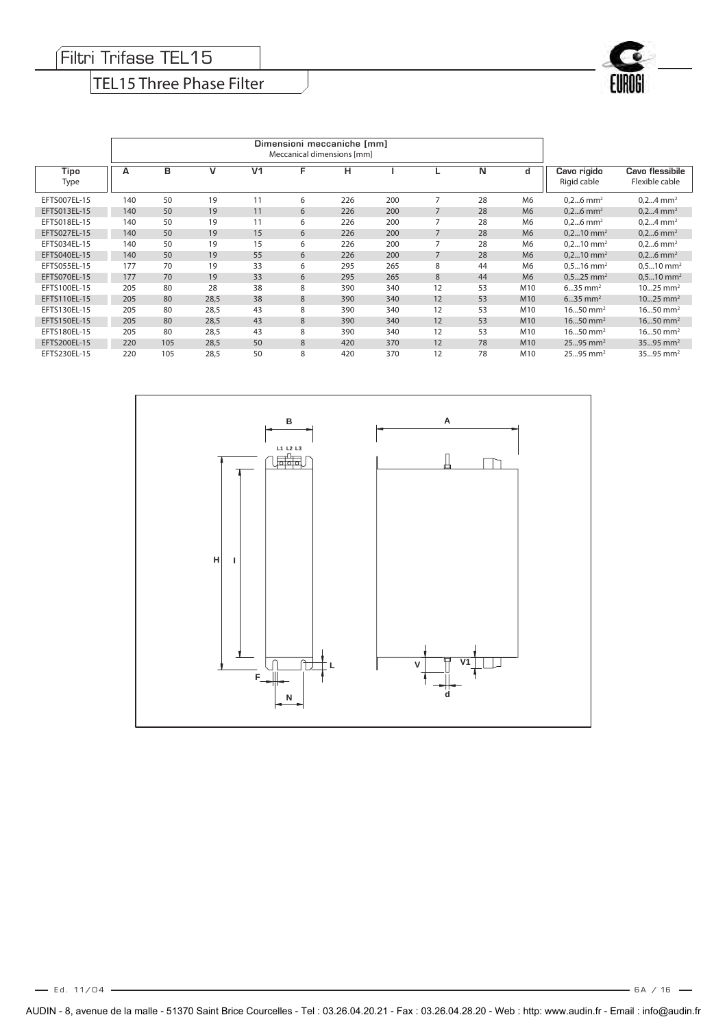#### Filtri Trifase TEL15

## TEL15 Three Phase Filter

| Tipo<br>Type | А   | в   | v    | V <sub>1</sub> | F | н   |     |    | N  | d               | Cavo rigido<br>Rigid cable | Cavo flessibile<br>Flexible cable |
|--------------|-----|-----|------|----------------|---|-----|-----|----|----|-----------------|----------------------------|-----------------------------------|
| EFTS007EL-15 | 140 | 50  | 19   | 11             | 6 | 226 | 200 |    | 28 | M <sub>6</sub>  | $0,26$ mm <sup>2</sup>     | $0,24$ mm <sup>2</sup>            |
| EFTS013EL-15 | 140 | 50  | 19   | 11             | 6 | 226 | 200 |    | 28 | M <sub>6</sub>  | $0,26$ mm <sup>2</sup>     | $0,24$ mm <sup>2</sup>            |
| EFTS018EL-15 | 140 | 50  | 19   | 11             | 6 | 226 | 200 | 7  | 28 | M6              | $0,26$ mm <sup>2</sup>     | $0,24$ mm <sup>2</sup>            |
| EFTS027EL-15 | 140 | 50  | 19   | 15             | 6 | 226 | 200 |    | 28 | M <sub>6</sub>  | $0, 210$ mm <sup>2</sup>   | $0,26$ mm <sup>2</sup>            |
| EFTS034EL-15 | 140 | 50  | 19   | 15             | 6 | 226 | 200 |    | 28 | M6              | $0, 210$ mm <sup>2</sup>   | $0,26$ mm <sup>2</sup>            |
| EFTS040EL-15 | 140 | 50  | 19   | 55             | 6 | 226 | 200 | 7  | 28 | M <sub>6</sub>  | $0, 210$ mm <sup>2</sup>   | $0,26$ mm <sup>2</sup>            |
| EFTS055EL-15 | 177 | 70  | 19   | 33             | 6 | 295 | 265 | 8  | 44 | M6              | $0.5$ 16 mm <sup>2</sup>   | $0.510$ mm <sup>2</sup>           |
| EFTS070EL-15 | 177 | 70  | 19   | 33             | 6 | 295 | 265 | 8  | 44 | M <sub>6</sub>  | $0.525$ mm <sup>2</sup>    | $0.510$ mm <sup>2</sup>           |
| EFTS100EL-15 | 205 | 80  | 28   | 38             | 8 | 390 | 340 | 12 | 53 | M10             | $635$ mm <sup>2</sup>      | $1025$ mm <sup>2</sup>            |
| EFTS110EL-15 | 205 | 80  | 28,5 | 38             | 8 | 390 | 340 | 12 | 53 | M <sub>10</sub> | $635$ mm <sup>2</sup>      | $1025$ mm <sup>2</sup>            |
| EFTS130EL-15 | 205 | 80  | 28,5 | 43             | 8 | 390 | 340 | 12 | 53 | M10             | $1650$ mm <sup>2</sup>     | $1650$ mm <sup>2</sup>            |
| EFTS150EL-15 | 205 | 80  | 28,5 | 43             | 8 | 390 | 340 | 12 | 53 | M <sub>10</sub> | $1650$ mm <sup>2</sup>     | $1650$ mm <sup>2</sup>            |
| EFTS180EL-15 | 205 | 80  | 28,5 | 43             | 8 | 390 | 340 | 12 | 53 | M10             | $1650$ mm <sup>2</sup>     | $1650$ mm <sup>2</sup>            |
| EFTS200EL-15 | 220 | 105 | 28,5 | 50             | 8 | 420 | 370 | 12 | 78 | M <sub>10</sub> | $2595$ mm <sup>2</sup>     | 3595 mm <sup>2</sup>              |
| EFTS230EL-15 | 220 | 105 | 28,5 | 50             | 8 | 420 | 370 | 12 | 78 | M10             | $2595$ mm <sup>2</sup>     | 3595 mm <sup>2</sup>              |



 $-$  6A / 16  $-$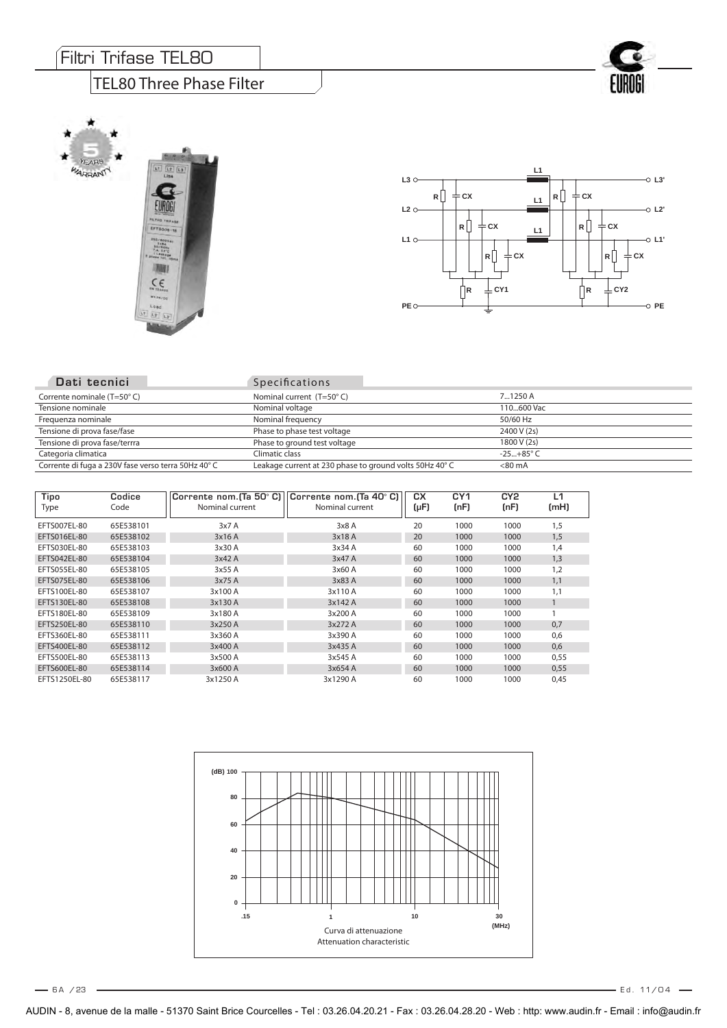#### Filtri Trifase TEL80

#### TEL80 Three Phase Filter







| Dati tecnici                                       | <b>Specifications</b>                                   |                    |
|----------------------------------------------------|---------------------------------------------------------|--------------------|
| Corrente nominale (T=50°C)                         | Nominal current $(T=50^{\circ} C)$                      | 71250 A            |
| Tensione nominale                                  | Nominal voltage                                         | 110600 Vac         |
| Frequenza nominale                                 | Nominal frequency                                       | 50/60 Hz           |
| Tensione di prova fase/fase                        | Phase to phase test voltage                             | 2400 V (2s)        |
| Tensione di prova fase/terrra                      | Phase to ground test voltage                            | 1800 V (2s)        |
| Categoria climatica                                | Climatic class                                          | $-25+85^{\circ}$ C |
| Corrente di fuga a 230V fase verso terra 50Hz 40°C | Leakage current at 230 phase to ground volts 50Hz 40° C | $< 80 \text{ mA}$  |

| Tipo<br>Type  | Codice<br>Code | Corrente nom. (Ta 50° C)<br>Nominal current | Corrente nom.(Ta 40° C)<br>Nominal current | CХ<br>$(\mu F)$ | CY <sub>1</sub><br>(nF) | CY2<br>(nF) | L1<br>(mH) |
|---------------|----------------|---------------------------------------------|--------------------------------------------|-----------------|-------------------------|-------------|------------|
| EFTS007EL-80  | 65E538101      | 3x7A                                        | 3x8A                                       | 20              | 1000                    | 1000        | 1,5        |
| EFTS016EL-80  | 65E538102      | 3x16 A                                      | 3x18 A                                     | 20              | 1000                    | 1000        | 1,5        |
| EFTS030EL-80  | 65E538103      | 3x30 A                                      | 3x34 A                                     | 60              | 1000                    | 1000        | 1,4        |
| EFTS042EL-80  | 65E538104      | 3x42A                                       | 3x47 A                                     | 60              | 1000                    | 1000        | 1,3        |
| EFTS055EL-80  | 65E538105      | 3x55 A                                      | 3x60 A                                     | 60              | 1000                    | 1000        | 1,2        |
| EFTS075EL-80  | 65E538106      | 3x75 A                                      | 3x83 A                                     | 60              | 1000                    | 1000        | 1,1        |
| EFTS100EL-80  | 65E538107      | 3x100 A                                     | 3x110 A                                    | 60              | 1000                    | 1000        | 1,1        |
| EFTS130EL-80  | 65E538108      | 3x130 A                                     | 3x142 A                                    | 60              | 1000                    | 1000        |            |
| EFTS180EL-80  | 65E538109      | 3x180 A                                     | 3x200 A                                    | 60              | 1000                    | 1000        |            |
| EFTS250EL-80  | 65E538110      | 3x250 A                                     | 3x272 A                                    | 60              | 1000                    | 1000        | 0,7        |
| EFTS360EL-80  | 65E538111      | 3x360 A                                     | 3x390 A                                    | 60              | 1000                    | 1000        | 0,6        |
| EFTS400EL-80  | 65E538112      | 3x400 A                                     | 3x435 A                                    | 60              | 1000                    | 1000        | 0,6        |
| EFTS500EL-80  | 65E538113      | 3x500 A                                     | 3x545 A                                    | 60              | 1000                    | 1000        | 0,55       |
| EFTS600EL-80  | 65E538114      | 3x600 A                                     | 3x654 A                                    | 60              | 1000                    | 1000        | 0,55       |
| EFTS1250EL-80 | 65E538117      | 3x1250 A                                    | 3x1290 A                                   | 60              | 1000                    | 1000        | 0,45       |



6 A / E d . 11/04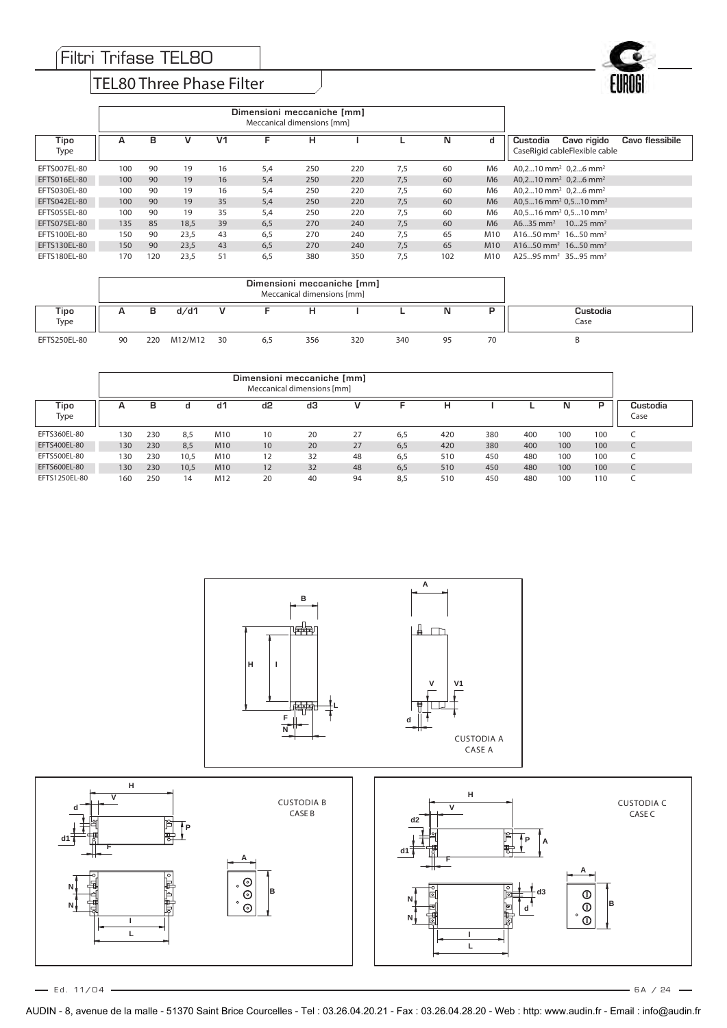#### TEL80 Three Phase Filter



| Tipo<br>Type | А   | в   | v    | V1 | F   | н   |     |     | N   | d               | Cavo rigido<br>Cavo flessibile<br>Custodia<br>CaseRigid cableFlexible cable |
|--------------|-----|-----|------|----|-----|-----|-----|-----|-----|-----------------|-----------------------------------------------------------------------------|
| EFTS007EL-80 | 100 | 90  | 19   | 16 | 5.4 | 250 | 220 | 7.5 | 60  | M <sub>6</sub>  | A0,210 mm <sup>2</sup> 0,26 mm <sup>2</sup>                                 |
| EFTS016EL-80 | 100 | 90  | 19   | 16 | 5.4 | 250 | 220 | 7,5 | 60  | M <sub>6</sub>  | A0,210 mm <sup>2</sup> 0,26 mm <sup>2</sup>                                 |
| EFTS030EL-80 | 100 | 90  | 19   | 16 | 5,4 | 250 | 220 | 7.5 | 60  | M6              | $A0.210$ mm <sup>2</sup> 0.26 mm <sup>2</sup>                               |
| EFTS042EL-80 | 100 | 90  | 19   | 35 | 5.4 | 250 | 220 | 7.5 | 60  | M <sub>6</sub>  | $A0.516$ mm <sup>2</sup> $0.510$ mm <sup>2</sup>                            |
| EFTS055EL-80 | 100 | 90  | 19   | 35 | 5,4 | 250 | 220 | 7.5 | 60  | M6              | $A0.516$ mm <sup>2</sup> $0.510$ mm <sup>2</sup>                            |
| EFTS075EL-80 | 135 | 85  | 18.5 | 39 | 6.5 | 270 | 240 | 7.5 | 60  | M <sub>6</sub>  | $A635$ mm <sup>2</sup><br>$1025$ mm <sup>2</sup>                            |
| EFTS100EL-80 | 150 | 90  | 23,5 | 43 | 6,5 | 270 | 240 | 7,5 | 65  | M10             | $A1650$ mm <sup>2</sup> 1650 mm <sup>2</sup>                                |
| EFTS130EL-80 | 150 | 90  | 23.5 | 43 | 6.5 | 270 | 240 | 7.5 | 65  | M <sub>10</sub> | $A1650$ mm <sup>2</sup> 1650 mm <sup>2</sup>                                |
| EFTS180EL-80 | 170 | 120 | 23,5 | 51 | 6,5 | 380 | 350 | 7,5 | 102 | M <sub>10</sub> | $A2595$ mm <sup>2</sup> 3595 mm <sup>2</sup>                                |

|              | Dimensioni meccaniche [mm]<br>Meccanical dimensions [mm] |     |         |    |     |     |     |     |    |    |                  |
|--------------|----------------------------------------------------------|-----|---------|----|-----|-----|-----|-----|----|----|------------------|
| Tipo<br>Type | А                                                        | в   | d/d1    |    |     |     |     |     | IN |    | Custodia<br>Case |
| EFTS250EL-80 | 90                                                       | 220 | M12/M12 | 30 | 6,5 | 356 | 320 | 340 | ۵s | 70 |                  |

|               | Dimensioni meccaniche [mm]<br>Meccanical dimensions [mm] |     |      |     |    |    |    |     |     |     |     |     |     |                  |
|---------------|----------------------------------------------------------|-----|------|-----|----|----|----|-----|-----|-----|-----|-----|-----|------------------|
| Tipo<br>Type  | А                                                        | в   | a    | d1  | d2 | dЗ | v  | E   | н   |     |     | N   | P   | Custodia<br>Case |
| EFTS360EL-80  | 130                                                      | 230 | 8.5  | M10 | 10 | 20 | 27 | 6,5 | 420 | 380 | 400 | 100 | 100 | ╰                |
| EFTS400EL-80  | 130                                                      | 230 | 8.5  | M10 | 10 | 20 | 27 | 6,5 | 420 | 380 | 400 | 100 | 100 | C                |
| EFTS500EL-80  | 130                                                      | 230 | 10.5 | M10 | 12 | 32 | 48 | 6,5 | 510 | 450 | 480 | 100 | 100 | ╰                |
| EFTS600EL-80  | 130                                                      | 230 | 10.5 | M10 | 12 | 32 | 48 | 6,5 | 510 | 450 | 480 | 100 | 100 | ╰                |
| EFTS1250EL-80 | 160                                                      | 250 | 14   | M12 | 20 | 40 | 94 | 8,5 | 510 | 450 | 480 | 100 | 110 |                  |



 $-$  Ed. 11/04  $-$ 

 $-6A / 24 -$ 

AUDIN - 8, avenue de la malle - 51370 Saint Brice Courcelles - Tel : 03.26.04.20.21 - Fax : 03.26.04.28.20 - Web : http: www.audin.fr - Email : info@audin.fr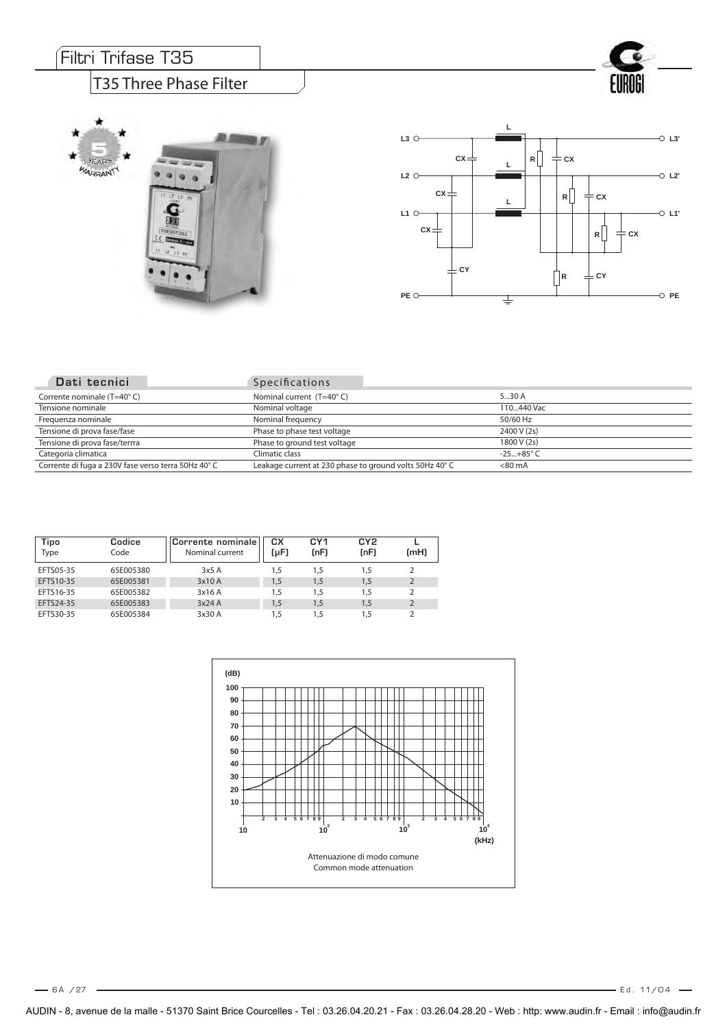## Filtri Trifase T35

**YEAR** WARRANTY

#### T35 Three Phase Filter

影響

**SOLU** 



ROGI El

| Dati tecnici                                        | <b>Specifications</b>                                   |                    |
|-----------------------------------------------------|---------------------------------------------------------|--------------------|
| Corrente nominale (T=40°C)                          | Nominal current $(T=40^{\circ} C)$                      | 530 A              |
| Tensione nominale                                   | Nominal voltage                                         | 110440 Vac         |
| Frequenza nominale                                  | Nominal frequency                                       | 50/60 Hz           |
| Tensione di prova fase/fase                         | Phase to phase test voltage                             | 2400 V (2s)        |
| Tensione di prova fase/terrra                       | Phase to ground test voltage                            | 1800 V (2s)        |
| Categoria climatica                                 | Climatic class                                          | $-25+85^{\circ}$ C |
| Corrente di fuga a 230V fase verso terra 50Hz 40° C | Leakage current at 230 phase to ground volts 50Hz 40° C | $<$ 80 mA          |

| Tipo<br>Type | Codice<br>Code | Corrente nominale<br>Nominal current | cх<br>(µF) | CY1<br>(nF) | CY <sub>2</sub><br>(nF) | (mH)           |
|--------------|----------------|--------------------------------------|------------|-------------|-------------------------|----------------|
| EFTS05-35    | 65E005380      | 3x5A                                 | 1,5        | 1,5         | 1,5                     |                |
| EFTS10-35    | 65E005381      | 3x10 A                               | 1,5        | 1.5         | 1,5                     | $\overline{2}$ |
| EFTS16-35    | 65E005382      | 3x16 A                               | 1.5        | 1.5         | 1,5                     |                |
| EFTS24-35    | 65E005383      | 3x24A                                | 1,5        | 1.5         | 1,5                     |                |
| EFTS30-35    | 65E005384      | 3x30 A                               | 1.5        | 1.5         | 1,5                     |                |

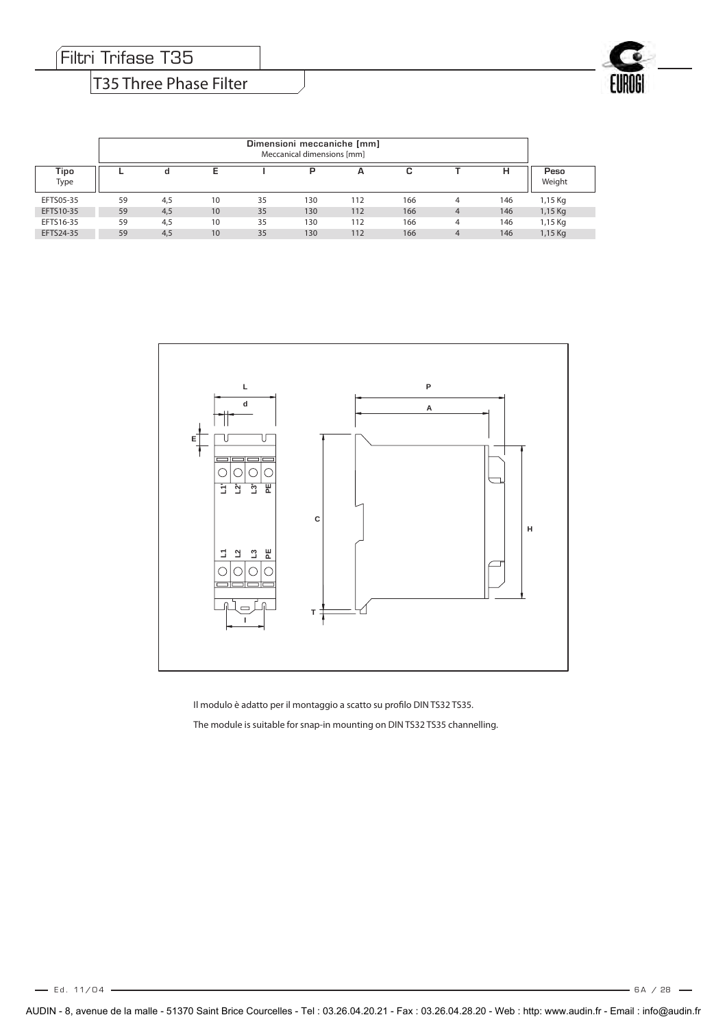Filtri Trifase T35

#### T35 Three Phase Filter

|              | Dimensioni meccaniche [mm]<br>Meccanical dimensions [mm] |     |                 |    |     |     |     |   |     |                |
|--------------|----------------------------------------------------------|-----|-----------------|----|-----|-----|-----|---|-----|----------------|
| Tipo<br>Type |                                                          | d   | E               |    | P   | А   | c   |   | н   | Peso<br>Weight |
| EFTS05-35    | 59                                                       | 4,5 | 10              | 35 | 130 | 112 | 166 | 4 | 146 | 1,15 Kg        |
| EFTS10-35    | 59                                                       | 4,5 | 10              | 35 | 130 | 112 | 166 | 4 | 146 | 1,15 Kg        |
| EFTS16-35    | 59                                                       | 4,5 | 10              | 35 | 130 | 112 | 166 | 4 | 146 | 1,15 Kg        |
| EFTS24-35    | 59                                                       | 4,5 | 10 <sup>°</sup> | 35 | 130 | 112 | 166 | 4 | 146 | 1,15 Kg        |



Il modulo è adatto per il montaggio a scatto su profilo DIN TS32 TS35. The module is suitable for snap-in mounting on DIN TS32 TS35 channelling.

 $-6A / 28 -$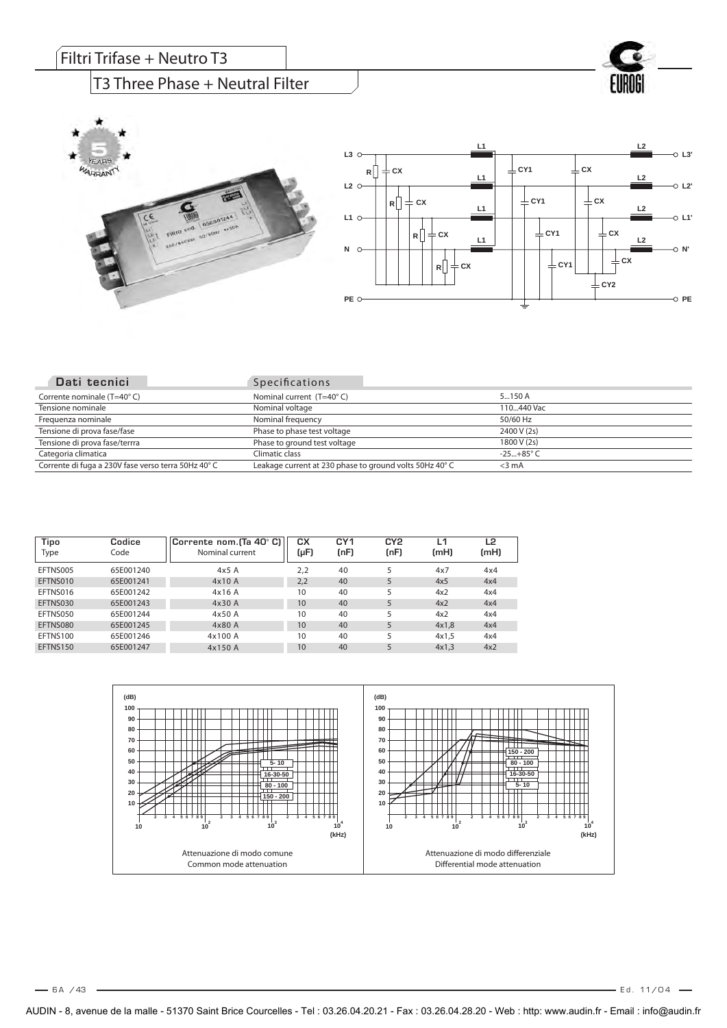# $\sqrt{\mathsf{Filtri}}$  Trifase + Neutro T3

#### T3 Three Phase + Neutral Filter







| Dati tecnici                                        | <b>Specifications</b>                                  |                    |
|-----------------------------------------------------|--------------------------------------------------------|--------------------|
| Corrente nominale (T=40°C)                          | Nominal current (T=40°C)                               | $5 - 150A$         |
| Tensione nominale                                   | Nominal voltage                                        | 110440 Vac         |
| Frequenza nominale                                  | Nominal frequency                                      | 50/60 Hz           |
| Tensione di prova fase/fase                         | Phase to phase test voltage                            | 2400 V (2s)        |
| Tensione di prova fase/terrra                       | Phase to ground test voltage                           | 1800 V (2s)        |
| Categoria climatica                                 | Climatic class                                         | $-25+85^{\circ}$ C |
| Corrente di fuga a 230V fase verso terra 50Hz 40° C | Leakage current at 230 phase to ground volts 50Hz 40°C | $<$ 3 mA           |

| Tipo<br>Type | Codice<br>Code | Corrente nom. $\left[\text{Ta } 40^{\circ} \text{ C}\right]$<br>Nominal current | CХ<br>(µF)      | CY <sub>1</sub><br>(nF) | CY <sub>2</sub><br>(nF) | ⊥1<br>(mH) | L2<br>(mH) |
|--------------|----------------|---------------------------------------------------------------------------------|-----------------|-------------------------|-------------------------|------------|------------|
| EFTNS005     | 65E001240      | 4x5A                                                                            | 2.2             | 40                      | 5                       | 4x7        | 4x4        |
| EFTNS010     | 65E001241      | 4x10 A                                                                          | 2,2             | 40                      |                         | 4x5        | 4x4        |
| EFTNS016     | 65E001242      | 4x16A                                                                           | 10              | 40                      | 5                       | 4x2        | 4x4        |
| EFTNS030     | 65E001243      | 4x30 A                                                                          | 10              | 40                      | 5                       | 4x2        | 4x4        |
| EFTNS050     | 65E001244      | 4x50A                                                                           | 10              | 40                      | 5                       | 4x2        | 4x4        |
| EFTNS080     | 65E001245      | 4x80A                                                                           | 10 <sup>°</sup> | 40                      | 5                       | 4x1,8      | 4x4        |
| EFTNS100     | 65E001246      | 4x100 A                                                                         | 10              | 40                      | 5                       | 4x1,5      | 4x4        |
| EFTNS150     | 65E001247      | 4x150 A                                                                         | 10              | 40                      | 5                       | 4x1,3      | 4x2        |

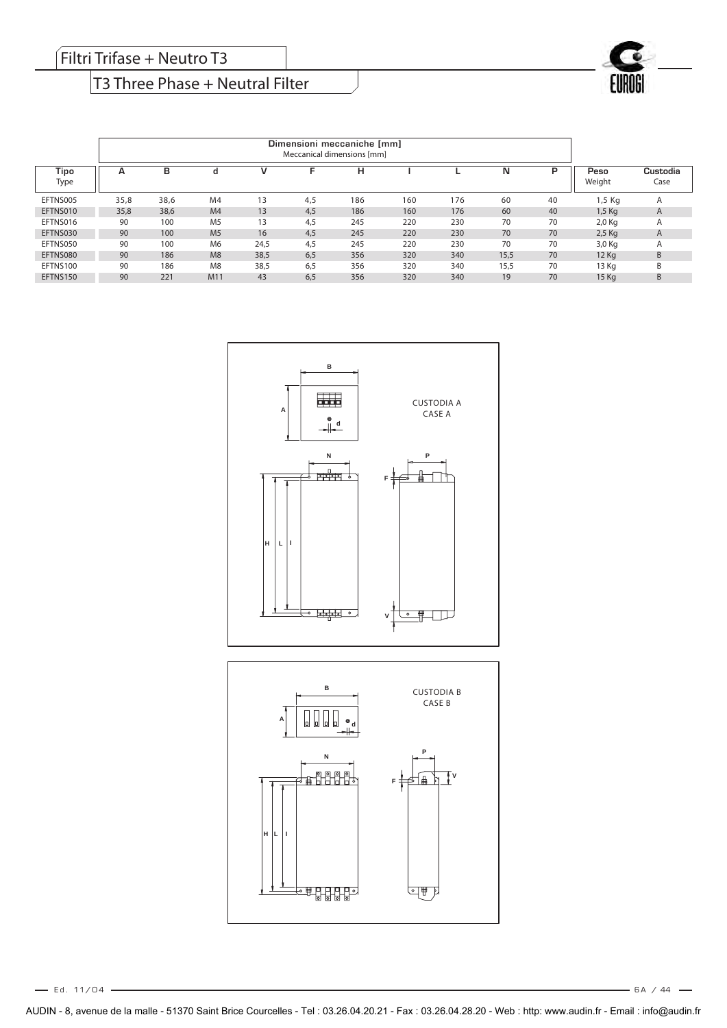## T3 Three Phase + Neutral Filter

|              | Dimensioni meccaniche [mm]<br>Meccanical dimensions [mm] |      |                |      |     |     |     |     |      |    |                |                  |
|--------------|----------------------------------------------------------|------|----------------|------|-----|-----|-----|-----|------|----|----------------|------------------|
| Tipo<br>Type | А                                                        | в    | d              | V    | ⊏   | н   |     |     | N    | Þ  | Peso<br>Weight | Custodia<br>Case |
| EFTNS005     | 35,8                                                     | 38,6 | M <sub>4</sub> | 13   | 4.5 | 186 | 160 | 176 | 60   | 40 | 1,5 Kg         | $\mathsf{A}$     |
| EFTNS010     | 35,8                                                     | 38,6 | M <sub>4</sub> | 13   | 4.5 | 186 | 160 | 176 | 60   | 40 | $1,5$ Kg       | A                |
| EFTNS016     | 90                                                       | 100  | M <sub>5</sub> | 13   | 4.5 | 245 | 220 | 230 | 70   | 70 | $2,0$ Kg       | $\mathsf{A}$     |
| EFTNS030     | 90                                                       | 100  | M <sub>5</sub> | 16   | 4.5 | 245 | 220 | 230 | 70   | 70 | $2.5$ Kg       | A                |
| EFTNS050     | 90                                                       | 100  | M <sub>6</sub> | 24,5 | 4.5 | 245 | 220 | 230 | 70   | 70 | 3,0 Kg         | $\mathsf{m}$     |
| EFTNS080     | 90                                                       | 186  | M8             | 38,5 | 6.5 | 356 | 320 | 340 | 15,5 | 70 | $12$ Ka        | B                |
| EFTNS100     | 90                                                       | 186  | M <sub>8</sub> | 38,5 | 6.5 | 356 | 320 | 340 | 15,5 | 70 | 13 Ka          | B                |
| EFTNS150     | 90                                                       | 221  | M11            | 43   | 6,5 | 356 | 320 | 340 | 19   | 70 | 15 Kg          | B                |



 $-6A / 44 -$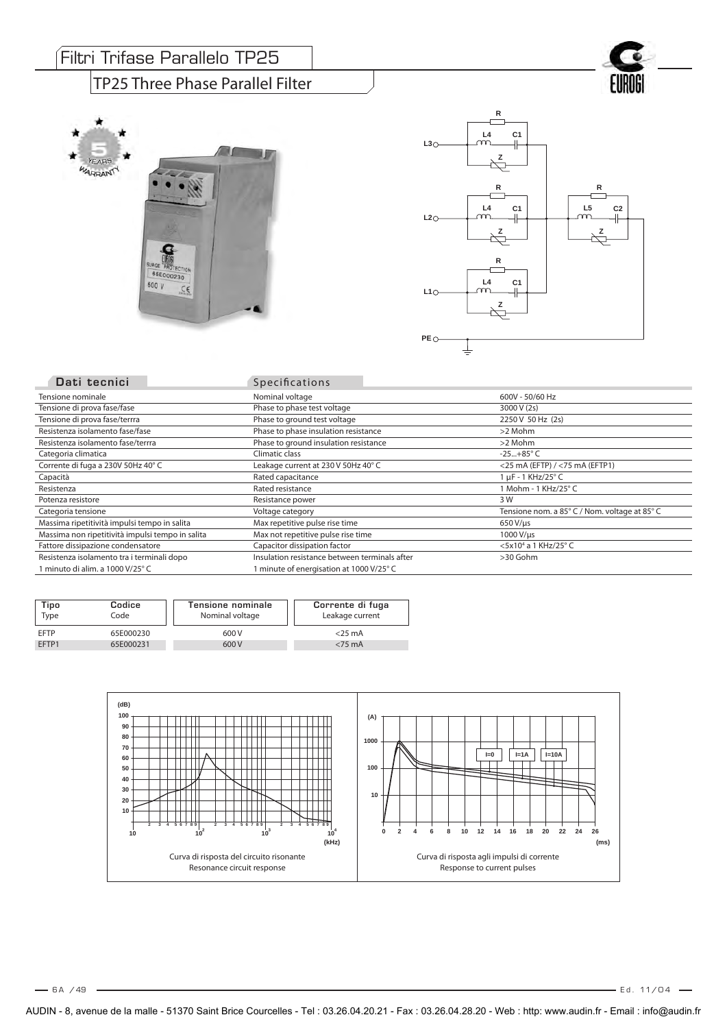#### Filtri Trifase Parallelo TP25

#### TP25 Three Phase Parallel Filter





| Dati tecnici                                     | <b>Specifications</b>                         |                                               |
|--------------------------------------------------|-----------------------------------------------|-----------------------------------------------|
| Tensione nominale                                | Nominal voltage                               | 600V - 50/60 Hz                               |
| Tensione di prova fase/fase                      | Phase to phase test voltage                   | 3000 V (2s)                                   |
| Tensione di prova fase/terrra                    | Phase to ground test voltage                  | 2250 V 50 Hz (2s)                             |
| Resistenza isolamento fase/fase                  | Phase to phase insulation resistance          | >2 Mohm                                       |
| Resistenza isolamento fase/terrra                | Phase to ground insulation resistance         | >2 Mohm                                       |
| Categoria climatica                              | Climatic class                                | $-25+85^{\circ}$ C                            |
| Corrente di fuga a 230V 50Hz 40°C                | Leakage current at 230 V 50Hz 40° C           | $<$ 25 mA (EFTP) / $<$ 75 mA (EFTP1)          |
| Capacità                                         | Rated capacitance                             | $1 \mu$ F - 1 KHz/25° C                       |
| Resistenza                                       | Rated resistance                              | 1 Mohm - 1 KHz/25° C                          |
| Potenza resistore                                | Resistance power                              | 3 W                                           |
| Categoria tensione                               | Voltage category                              | Tensione nom. a 85° C / Nom. voltage at 85° C |
| Massima ripetitività impulsi tempo in salita     | Max repetitive pulse rise time                | $650 V/ \mu s$                                |
| Massima non ripetitività impulsi tempo in salita | Max not repetitive pulse rise time            | 1000 V/us                                     |
| Fattore dissipazione condensatore                | Capacitor dissipation factor                  | <5x10 <sup>4</sup> a 1 KHz/25° C              |
| Resistenza isolamento tra i terminali dopo       | Insulation resistance between terminals after | >30 Gohm                                      |
| 1 minuto di alim. a 1000 V/25° C                 | 1 minute of energisation at 1000 V/25° C      |                                               |

| Tipo<br>Type | Codice<br>Code | Tensione nominale<br>Nominal voltage | Corrente di fuga<br>Leakage current |
|--------------|----------------|--------------------------------------|-------------------------------------|
| <b>EFTP</b>  | 65E000230      | 600 V                                | $<$ 25 mA                           |
| FFTP1        | 65E000231      | 600 V                                | $<$ 75 mA                           |

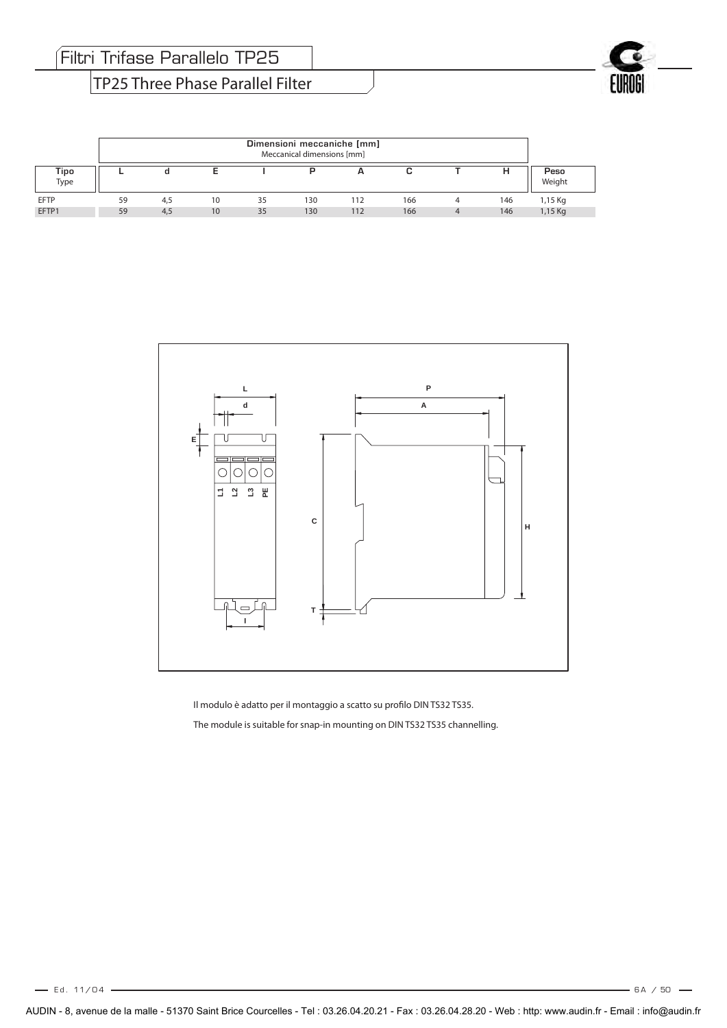TP25 Three Phase Parallel Filter

|              | Dimensioni meccaniche [mm]<br>Meccanical dimensions [mm] |     |    |    |     |     |     |   |     |                |
|--------------|----------------------------------------------------------|-----|----|----|-----|-----|-----|---|-----|----------------|
| Tipo<br>Type |                                                          |     |    |    |     | ∽   |     |   | н   | Peso<br>Weight |
| <b>EFTP</b>  | 59                                                       | 4.5 | 10 | 35 | 130 | 112 | 166 |   | 146 | 1,15 Kg        |
| EFTP1        | 59                                                       | 4,5 | 10 | 35 | 130 | 112 | 166 | 4 | 146 | 1,15 Kg        |



Il modulo è adatto per il montaggio a scatto su profilo DIN TS32 TS35. The module is suitable for snap-in mounting on DIN TS32 TS35 channelling.

 $-6A / 50 -$